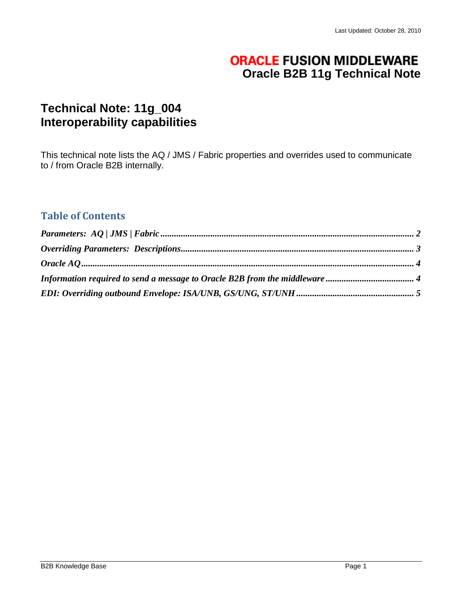# **ORACLE FUSION MIDDLEWARE Oracle B2B 11g Technical Note**

# **Technical Note: 11g\_004 Interoperability capabilities**

This technical note lists the AQ / JMS / Fabric properties and overrides used to communicate to / from Oracle B2B internally.

## **Table of Contents**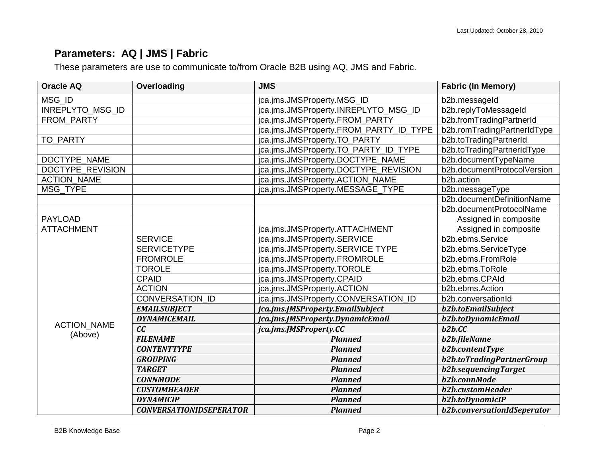# **Parameters: AQ | JMS | Fabric**

These parameters are use to communicate to/from Oracle B2B using AQ, JMS and Fabric.

<span id="page-1-0"></span>

| <b>Oracle AQ</b>   | Overloading                    | <b>JMS</b>                             | <b>Fabric (In Memory)</b>   |
|--------------------|--------------------------------|----------------------------------------|-----------------------------|
| MSG ID             |                                | jca.jms.JMSProperty.MSG_ID             | b2b.messageId               |
| INREPLYTO_MSG_ID   |                                | jca.jms.JMSProperty.INREPLYTO_MSG_ID   | b2b.replyToMessageId        |
| FROM PARTY         |                                | jca.jms.JMSProperty.FROM_PARTY         | b2b.fromTradingPartnerId    |
|                    |                                | jca.jms.JMSProperty.FROM_PARTY_ID_TYPE | b2b.romTradingPartnerIdType |
| TO_PARTY           |                                | jca.jms.JMSProperty.TO_PARTY           | b2b.toTradingPartnerId      |
|                    |                                | jca.jms.JMSProperty.TO_PARTY_ID_TYPE   | b2b.toTradingPartnerIdType  |
| DOCTYPE_NAME       |                                | jca.jms.JMSProperty.DOCTYPE_NAME       | b2b.documentTypeName        |
| DOCTYPE REVISION   |                                | jca.jms.JMSProperty.DOCTYPE_REVISION   | b2b.documentProtocolVersion |
| <b>ACTION_NAME</b> |                                | jca.jms.JMSProperty.ACTION_NAME        | b2b.action                  |
| <b>MSG TYPE</b>    |                                | jca.jms.JMSProperty.MESSAGE_TYPE       | b2b.messageType             |
|                    |                                |                                        | b2b.documentDefinitionName  |
|                    |                                |                                        | b2b.documentProtocolName    |
| <b>PAYLOAD</b>     |                                |                                        | Assigned in composite       |
| <b>ATTACHMENT</b>  |                                | jca.jms.JMSProperty.ATTACHMENT         | Assigned in composite       |
|                    | <b>SERVICE</b>                 | jca.jms.JMSProperty.SERVICE            | b2b.ebms.Service            |
|                    | <b>SERVICETYPE</b>             | jca.jms.JMSProperty.SERVICE TYPE       | b2b.ebms.ServiceType        |
|                    | <b>FROMROLE</b>                | jca.jms.JMSProperty.FROMROLE           | b2b.ebms.FromRole           |
|                    | <b>TOROLE</b>                  | jca.jms.JMSProperty.TOROLE             | b2b.ebms.ToRole             |
|                    | <b>CPAID</b>                   | jca.jms.JMSProperty.CPAID              | b2b.ebms.CPAId              |
|                    | <b>ACTION</b>                  | jca.jms.JMSProperty.ACTION             | b2b.ebms.Action             |
|                    | CONVERSATION_ID                | jca.jms.JMSProperty.CONVERSATION ID    | b2b.conversationId          |
|                    | <b>EMAILSUBJECT</b>            | jca.jms.JMSProperty.EmailSubject       | b2b.toEmailSubject          |
|                    | <b>DYNAMICEMAIL</b>            | jca.jms.JMSProperty.DynamicEmail       | b2b.toDynamicEmail          |
| <b>ACTION_NAME</b> | cc                             | jca.jms.JMSProperty.CC                 | b2b.CC                      |
| (Above)            | <b>FILENAME</b>                | <b>Planned</b>                         | b2b.fileName                |
|                    | <b>CONTENTTYPE</b>             | <b>Planned</b>                         | <b>b2b.contentType</b>      |
|                    | <b>GROUPING</b>                | <b>Planned</b>                         | b2b.toTradingPartnerGroup   |
|                    | <b>TARGET</b>                  | <b>Planned</b>                         | b2b.sequencingTarget        |
|                    | <b>CONNMODE</b>                | <b>Planned</b>                         | b2b.connMode                |
|                    | <b>CUSTOMHEADER</b>            | <b>Planned</b>                         | b2b.customHeader            |
|                    | <b>DYNAMICIP</b>               | <b>Planned</b>                         | b2b.toDynamicIP             |
|                    | <b>CONVERSATIONIDSEPERATOR</b> | <b>Planned</b>                         | b2b.conversationIdSeperator |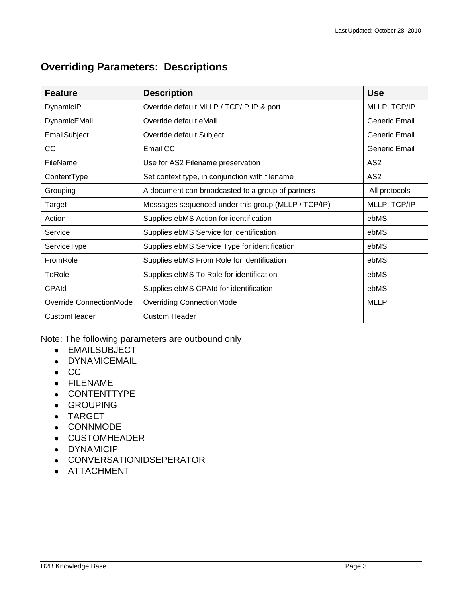# **Feature Description Use** DynamicIP Override default MLLP / TCP/IP IP & port MLLP, TCP/IP DynamicEMail Coverride default eMail Coversity Control of Ceneric Email Control of the United States of Control of Control of Control of Control of Control of Control of Control of Control of Control of Control of Control EmailSubject **Container Container Container Container Container Container Container Container Container Container** CC Benefic Email CC CONTEXT CONTEXT CONTEXT CONTEXT CONTEXT CONTEXT CONTEXT CONTEXT CONTEXT CONTEXT CONTEXT CONTEXT CONTEXT CONTEXT CONTEXT CONTEXT CONTEXT CONTEXT CONTEXT CONTEXT CONTEXT CONTEXT CONTEXT CONTEXT CONTEXT CO FileName  $\vert$  Use for AS2 Filename preservation  $\vert$  AS2 ContentType Set context type, in conjunction with filename AS2 Grouping **A** document can broadcasted to a group of partners **All protocols** Target Messages sequenced under this group (MLLP / TCP/IP) MLLP, TCP/IP Action **Supplies ebMS Action for identification** ebMS Service Supplies ebMS Service for identification Service in the Supplies ebMS Service for identification ServiceType Supplies ebMS Service Type for identification and supplies ebMS FromRole Supplies ebMS From Role for identification example bMS ToRole Supplies ebMS To Role for identification example bMS CPAId Supplies ebMS CPAId for identification example bMS Override ConnectionMode | Overriding ConnectionMode Musley Musley | MLLP CustomHeader Custom Header

## <span id="page-2-0"></span>**Overriding Parameters: Descriptions**

Note: The following parameters are outbound only

- EMAILSUBJECT
- DYNAMICEMAIL
- $\bullet$  CC
- FILENAME
- CONTENTTYPE
- GROUPING
- TARGET
- CONNMODE
- CUSTOMHEADER
- DYNAMICIP
- CONVERSATIONIDSEPERATOR
- ATTACHMENT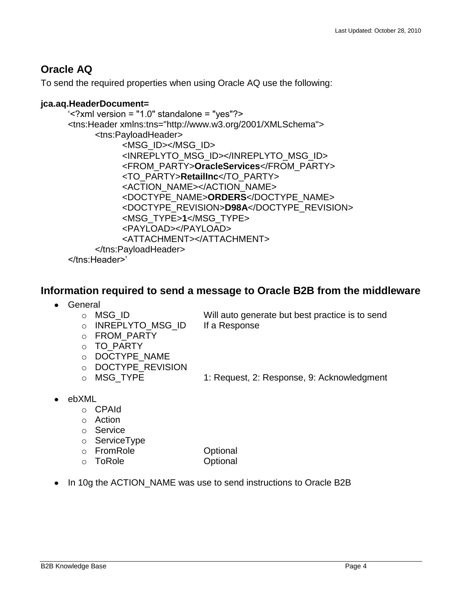## <span id="page-3-0"></span>**Oracle AQ**

To send the required properties when using Oracle AQ use the following:

#### **jca.aq.HeaderDocument=**

```
"<?xml version = "1.0" standalone = "yes"?> 
<tns:Header xmlns:tns="http://www.w3.org/2001/XMLSchema"> 
     <tns:PayloadHeader> 
          <MSG_ID></MSG_ID> 
          <INREPLYTO_MSG_ID></INREPLYTO_MSG_ID> 
          <FROM_PARTY>OracleServices</FROM_PARTY> 
          <TO_PARTY>RetailInc</TO_PARTY> 
          <ACTION_NAME></ACTION_NAME> 
          <DOCTYPE_NAME>ORDERS</DOCTYPE_NAME> 
          <DOCTYPE_REVISION>D98A</DOCTYPE_REVISION> 
          <MSG_TYPE>1</MSG_TYPE> 
          <PAYLOAD></PAYLOAD> 
          <ATTACHMENT></ATTACHMENT> 
     </tns:PayloadHeader> 
</tns:Header>"
```
### <span id="page-3-1"></span>**Information required to send a message to Oracle B2B from the middleware**

- General
	- o MSG\_ID Will auto generate but best practice is to send o INREPLYTO MSG ID If a Response
	- o FROM\_PARTY
	- o TO\_PARTY
	- o DOCTYPE\_NAME
	- o DOCTYPE\_REVISION
	-
	- o MSG\_TYPE 1: Request, 2: Response, 9: Acknowledgment
- ebXML
	- o CPAId
	- o Action
	- o Service
	- o ServiceType
	- o FromRole Optional
	- o ToRole Optional

• In 10g the ACTION\_NAME was use to send instructions to Oracle B2B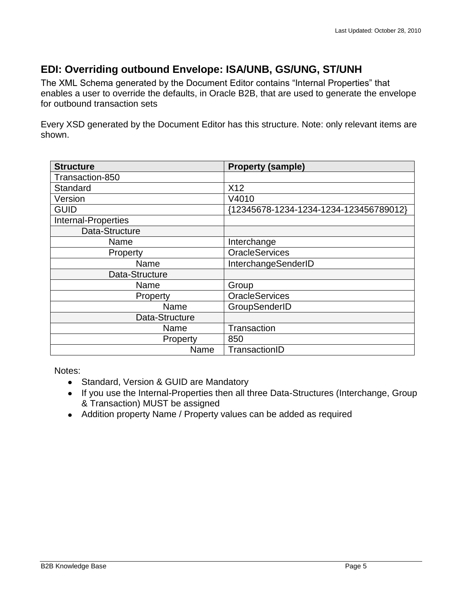## <span id="page-4-0"></span>**EDI: Overriding outbound Envelope: ISA/UNB, GS/UNG, ST/UNH**

The XML Schema generated by the Document Editor contains "Internal Properties" that enables a user to override the defaults, in Oracle B2B, that are used to generate the envelope for outbound transaction sets

Every XSD generated by the Document Editor has this structure. Note: only relevant items are shown.

| <b>Structure</b>           | <b>Property (sample)</b>               |
|----------------------------|----------------------------------------|
| Transaction-850            |                                        |
| Standard                   | X12                                    |
| Version                    | V4010                                  |
| <b>GUID</b>                | {12345678-1234-1234-1234-123456789012} |
| <b>Internal-Properties</b> |                                        |
| Data-Structure             |                                        |
| Name                       | Interchange                            |
| Property                   | <b>OracleServices</b>                  |
| Name                       | InterchangeSenderID                    |
| Data-Structure             |                                        |
| Name                       | Group                                  |
| Property                   | <b>OracleServices</b>                  |
| Name                       | GroupSenderID                          |
| Data-Structure             |                                        |
| Name                       | Transaction                            |
| Property                   | 850                                    |
| Name                       | TransactionID                          |

Notes:

- Standard, Version & GUID are Mandatory
- If you use the Internal-Properties then all three Data-Structures (Interchange, Group & Transaction) MUST be assigned
- Addition property Name / Property values can be added as required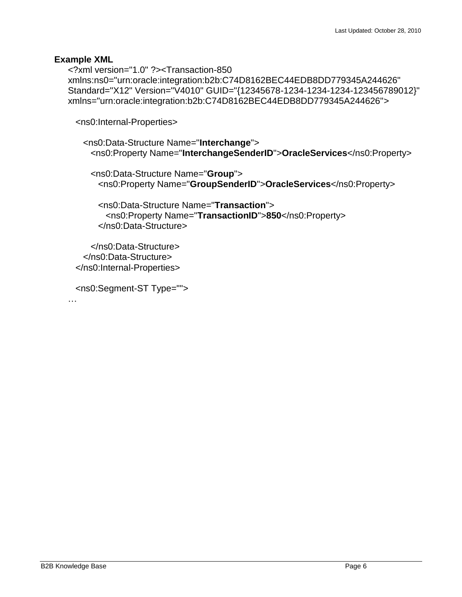#### **Example XML**

<?xml version="1.0" ?><Transaction-850 xmlns:ns0="urn:oracle:integration:b2b:C74D8162BEC44EDB8DD779345A244626" Standard="X12" Version="V4010" GUID="{12345678-1234-1234-1234-123456789012}" xmlns="urn:oracle:integration:b2b:C74D8162BEC44EDB8DD779345A244626">

<ns0:Internal-Properties>

```
 <ns0:Data-Structure Name="Interchange">
  <ns0:Property Name="InterchangeSenderID">OracleServices</ns0:Property>
```
 <ns0:Data-Structure Name="**Group**"> <ns0:Property Name="**GroupSenderID**">**OracleServices**</ns0:Property>

 <ns0:Data-Structure Name="**Transaction**"> <ns0:Property Name="**TransactionID**">**850**</ns0:Property> </ns0:Data-Structure>

 </ns0:Data-Structure> </ns0:Data-Structure> </ns0:Internal-Properties>

<ns0:Segment-ST Type="">

…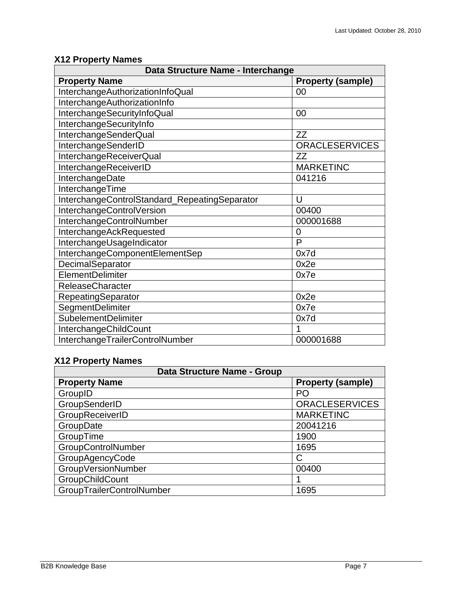# **X12 Property Names**

| Data Structure Name - Interchange             |                          |  |
|-----------------------------------------------|--------------------------|--|
| <b>Property Name</b>                          | <b>Property (sample)</b> |  |
| InterchangeAuthorizationInfoQual              | 00                       |  |
| InterchangeAuthorizationInfo                  |                          |  |
| InterchangeSecurityInfoQual                   | 00                       |  |
| InterchangeSecurityInfo                       |                          |  |
| InterchangeSenderQual                         | ZZ                       |  |
| InterchangeSenderID                           | <b>ORACLESERVICES</b>    |  |
| InterchangeReceiverQual                       | <b>ZZ</b>                |  |
| InterchangeReceiverID                         | <b>MARKETINC</b>         |  |
| InterchangeDate                               | 041216                   |  |
| InterchangeTime                               |                          |  |
| InterchangeControlStandard_RepeatingSeparator | U                        |  |
| InterchangeControlVersion                     | 00400                    |  |
| InterchangeControlNumber                      | 000001688                |  |
| InterchangeAckRequested                       | 0                        |  |
| InterchangeUsageIndicator                     | P                        |  |
| InterchangeComponentElementSep                | 0x7d                     |  |
| DecimalSeparator                              | 0x2e                     |  |
| ElementDelimiter                              | 0x7e                     |  |
| <b>ReleaseCharacter</b>                       |                          |  |
| RepeatingSeparator                            | 0x2e                     |  |
| SegmentDelimiter                              | 0x7e                     |  |
| <b>SubelementDelimiter</b>                    | 0x7d                     |  |
| InterchangeChildCount                         | 1                        |  |
| InterchangeTrailerControlNumber               | 000001688                |  |

### **X12 Property Names**

| Data Structure Name - Group |                          |
|-----------------------------|--------------------------|
| <b>Property Name</b>        | <b>Property (sample)</b> |
| GroupID                     | PO                       |
| GroupSenderID               | <b>ORACLESERVICES</b>    |
| GroupReceiverID             | <b>MARKETINC</b>         |
| GroupDate                   | 20041216                 |
| GroupTime                   | 1900                     |
| GroupControlNumber          | 1695                     |
| GroupAgencyCode             |                          |
| GroupVersionNumber          | 00400                    |
| GroupChildCount             |                          |
| GroupTrailerControlNumber   | 1695                     |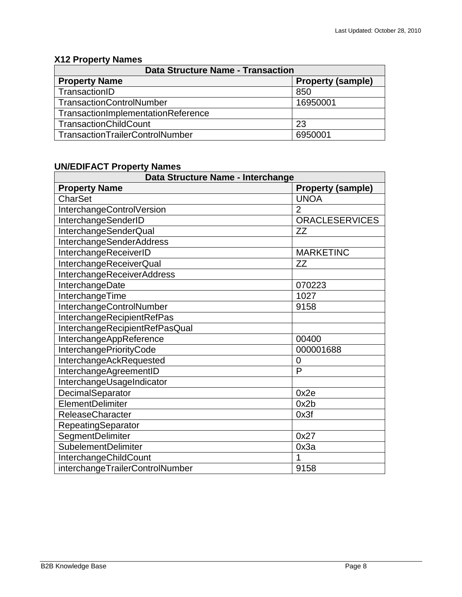## **X12 Property Names**

| <b>Data Structure Name - Transaction</b> |                          |  |
|------------------------------------------|--------------------------|--|
| <b>Property Name</b>                     | <b>Property (sample)</b> |  |
| TransactionID                            | 850                      |  |
| <b>TransactionControlNumber</b>          | 16950001                 |  |
| TransactionImplementationReference       |                          |  |
| <b>TransactionChildCount</b>             | 23                       |  |
| TransactionTrailerControlNumber          | 6950001                  |  |

### **UN/EDIFACT Property Names**

| Data Structure Name - Interchange |                          |
|-----------------------------------|--------------------------|
| <b>Property Name</b>              | <b>Property (sample)</b> |
| <b>CharSet</b>                    | <b>UNOA</b>              |
| InterchangeControlVersion         | $\overline{2}$           |
| InterchangeSenderID               | <b>ORACLESERVICES</b>    |
| InterchangeSenderQual             | ZZ                       |
| <b>InterchangeSenderAddress</b>   |                          |
| InterchangeReceiverID             | <b>MARKETINC</b>         |
| InterchangeReceiverQual           | <b>ZZ</b>                |
| <b>InterchangeReceiverAddress</b> |                          |
| InterchangeDate                   | 070223                   |
| InterchangeTime                   | 1027                     |
| InterchangeControlNumber          | 9158                     |
| InterchangeRecipientRefPas        |                          |
| InterchangeRecipientRefPasQual    |                          |
| InterchangeAppReference           | 00400                    |
| InterchangePriorityCode           | 000001688                |
| InterchangeAckRequested           | $\overline{0}$           |
| InterchangeAgreementID            | P                        |
| InterchangeUsageIndicator         |                          |
| DecimalSeparator                  | 0x2e                     |
| ElementDelimiter                  | 0x2b                     |
| <b>ReleaseCharacter</b>           | 0x3f                     |
| RepeatingSeparator                |                          |
| SegmentDelimiter                  | 0x27                     |
| SubelementDelimiter               | 0x3a                     |
| InterchangeChildCount             | 1                        |
| interchangeTrailerControlNumber   | 9158                     |